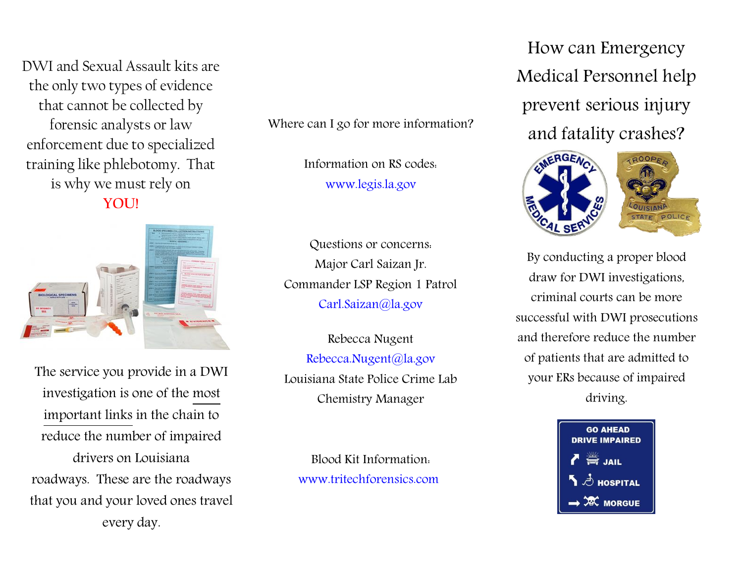DWI and Sexual Assault kits are the only two types of evidence that cannot be collected by forensic analysts or law enforcement due to specialized training like phlebotomy. That is why we must rely on **YOU!**



The service you provide in a DWI investigation is one of the most important links in the chain to reduce the number of impaired drivers on Louisiana roadways. These are the roadways that you and your loved ones travel every day.

Where can I go for more information?

Information on RS codes: [www.legis.la.gov](http://www.legis.la.gov/)

Questions or concerns: Major Carl Saizan Jr. Commander LSP Region 1 Patrol [Carl.Saizan@la.gov](mailto:Carl.Saizan@la.gov)

Rebecca Nugent [Rebecca.Nugent@la.gov](mailto:Rebecca.Nugent@la.gov) Louisiana State Police Crime Lab Chemistry Manager

Blood Kit Information: [www.tritechforensics.com](http://www.tritechforensics.com/)

How can Emergency Medical Personnel help prevent serious injury and fatality crashes?



By conducting a proper blood draw for DWI investigations, criminal courts can be more successful with DWI prosecutions and therefore reduce the number of patients that are admitted to your ERs because of impaired driving.